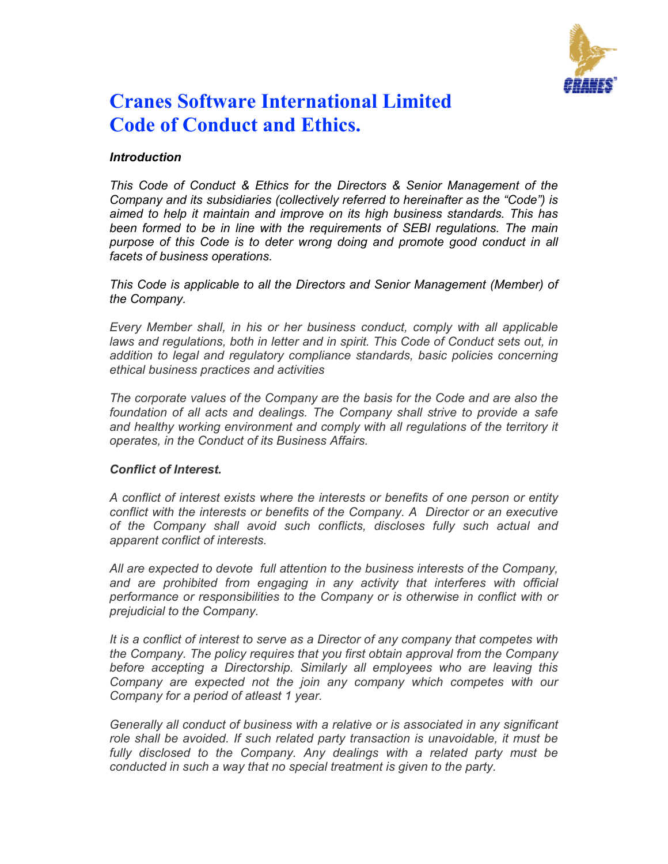

# **Cranes Software International Limited Code of Conduct and Ethics.**

## *Introduction*

*This Code of Conduct & Ethics for the Directors & Senior Management of the Company and its subsidiaries (collectively referred to hereinafter as the "Code") is aimed to help it maintain and improve on its high business standards. This has been formed to be in line with the requirements of SEBI regulations. The main purpose of this Code is to deter wrong doing and promote good conduct in all facets of business operations.* 

*This Code is applicable to all the Directors and Senior Management (Member) of the Company.* 

*Every Member shall, in his or her business conduct, comply with all applicable*  laws and regulations, both in letter and in spirit. This Code of Conduct sets out, in *addition to legal and regulatory compliance standards, basic policies concerning ethical business practices and activities* 

*The corporate values of the Company are the basis for the Code and are also the foundation of all acts and dealings. The Company shall strive to provide a safe*  and healthy working environment and comply with all regulations of the territory it *operates, in the Conduct of its Business Affairs.* 

#### *Conflict of Interest.*

*A conflict of interest exists where the interests or benefits of one person or entity conflict with the interests or benefits of the Company. A Director or an executive of the Company shall avoid such conflicts, discloses fully such actual and apparent conflict of interests.* 

*All are expected to devote full attention to the business interests of the Company,*  and are prohibited from engaging in any activity that interferes with official *performance or responsibilities to the Company or is otherwise in conflict with or prejudicial to the Company.* 

*It is a conflict of interest to serve as a Director of any company that competes with the Company. The policy requires that you first obtain approval from the Company before accepting a Directorship. Similarly all employees who are leaving this Company are expected not the join any company which competes with our Company for a period of atleast 1 year.* 

*Generally all conduct of business with a relative or is associated in any significant role shall be avoided. If such related party transaction is unavoidable, it must be*  fully disclosed to the Company. Any dealings with a related party must be *conducted in such a way that no special treatment is given to the party.*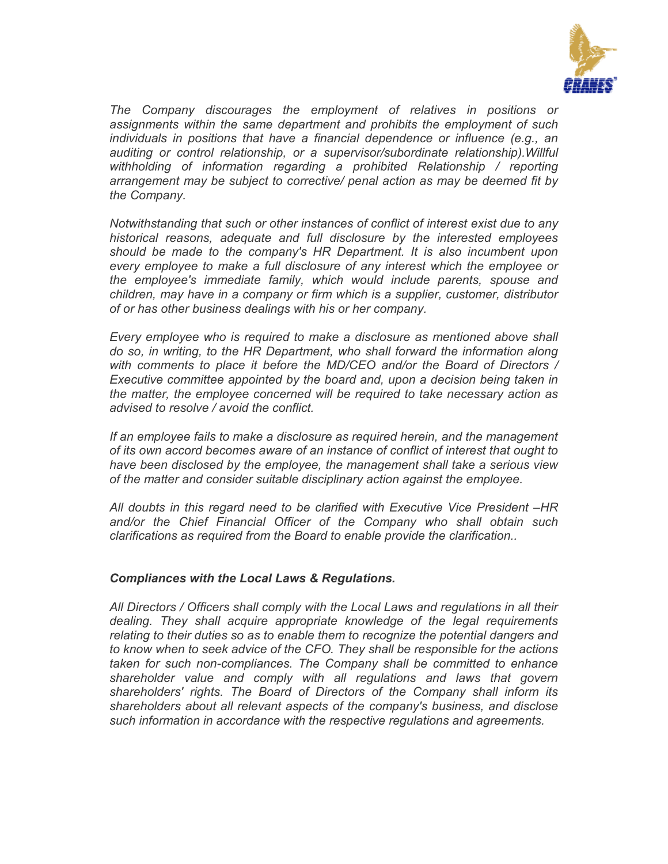

*The Company discourages the employment of relatives in positions or assignments within the same department and prohibits the employment of such individuals in positions that have a financial dependence or influence (e.g., an auditing or control relationship, or a supervisor/subordinate relationship).Willful withholding of information regarding a prohibited Relationship / reporting arrangement may be subject to corrective/ penal action as may be deemed fit by the Company.* 

*Notwithstanding that such or other instances of conflict of interest exist due to any historical reasons, adequate and full disclosure by the interested employees should be made to the company's HR Department. It is also incumbent upon every employee to make a full disclosure of any interest which the employee or the employee's immediate family, which would include parents, spouse and children, may have in a company or firm which is a supplier, customer, distributor of or has other business dealings with his or her company.* 

*Every employee who is required to make a disclosure as mentioned above shall do so, in writing, to the HR Department, who shall forward the information along with comments to place it before the MD/CEO and/or the Board of Directors / Executive committee appointed by the board and, upon a decision being taken in the matter, the employee concerned will be required to take necessary action as advised to resolve / avoid the conflict.* 

*If an employee fails to make a disclosure as required herein, and the management of its own accord becomes aware of an instance of conflict of interest that ought to have been disclosed by the employee, the management shall take a serious view of the matter and consider suitable disciplinary action against the employee.* 

*All doubts in this regard need to be clarified with Executive Vice President –HR and/or the Chief Financial Officer of the Company who shall obtain such clarifications as required from the Board to enable provide the clarification..* 

## *Compliances with the Local Laws & Regulations.*

*All Directors / Officers shall comply with the Local Laws and regulations in all their dealing. They shall acquire appropriate knowledge of the legal requirements relating to their duties so as to enable them to recognize the potential dangers and to know when to seek advice of the CFO. They shall be responsible for the actions taken for such non-compliances. The Company shall be committed to enhance shareholder value and comply with all regulations and laws that govern shareholders' rights. The Board of Directors of the Company shall inform its shareholders about all relevant aspects of the company's business, and disclose such information in accordance with the respective regulations and agreements.*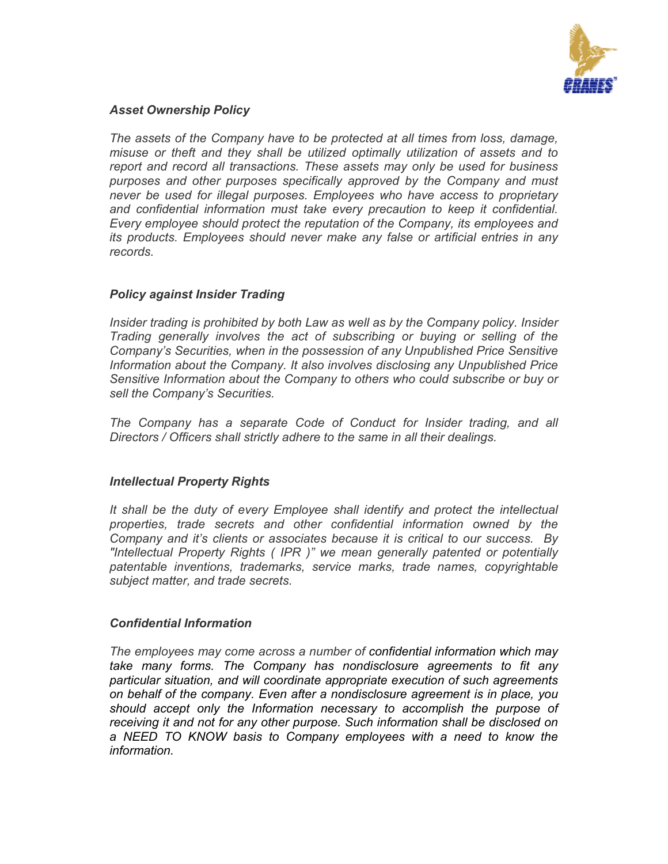

#### *Asset Ownership Policy*

*The assets of the Company have to be protected at all times from loss, damage, misuse or theft and they shall be utilized optimally utilization of assets and to report and record all transactions. These assets may only be used for business purposes and other purposes specifically approved by the Company and must never be used for illegal purposes. Employees who have access to proprietary and confidential information must take every precaution to keep it confidential. Every employee should protect the reputation of the Company, its employees and its products. Employees should never make any false or artificial entries in any records.* 

## *Policy against Insider Trading*

*Insider trading is prohibited by both Law as well as by the Company policy. Insider Trading generally involves the act of subscribing or buying or selling of the Company's Securities, when in the possession of any Unpublished Price Sensitive Information about the Company. It also involves disclosing any Unpublished Price Sensitive Information about the Company to others who could subscribe or buy or sell the Company's Securities.* 

*The Company has a separate Code of Conduct for Insider trading, and all Directors / Officers shall strictly adhere to the same in all their dealings.* 

## *Intellectual Property Rights*

*It shall be the duty of every Employee shall identify and protect the intellectual properties, trade secrets and other confidential information owned by the Company and it's clients or associates because it is critical to our success. By "Intellectual Property Rights ( IPR )" we mean generally patented or potentially patentable inventions, trademarks, service marks, trade names, copyrightable subject matter, and trade secrets.* 

#### *Confidential Information*

*The employees may come across a number of confidential information which may take many forms. The Company has nondisclosure agreements to fit any particular situation, and will coordinate appropriate execution of such agreements on behalf of the company. Even after a nondisclosure agreement is in place, you should accept only the Information necessary to accomplish the purpose of receiving it and not for any other purpose. Such information shall be disclosed on a NEED TO KNOW basis to Company employees with a need to know the information.*